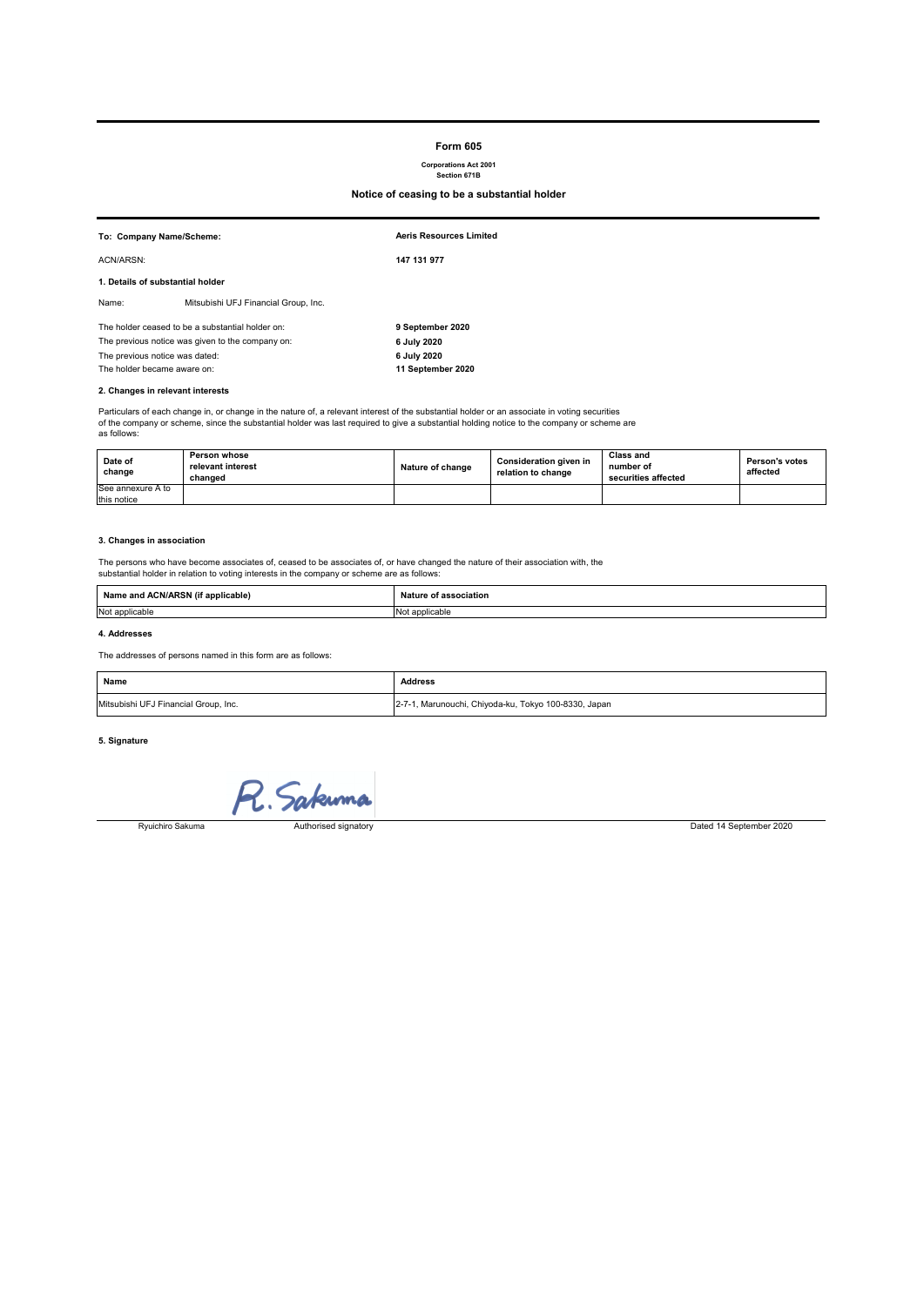#### **Form 605**

# **Corporations Act 2001 Section 671B**

# **Notice of ceasing to be a substantial holder**

| To: Company Name/Scheme:                         |                                      | <b>Aeris Resources Limited</b> |
|--------------------------------------------------|--------------------------------------|--------------------------------|
| ACN/ARSN:                                        |                                      | 147 131 977                    |
| 1. Details of substantial holder                 |                                      |                                |
| Name:                                            | Mitsubishi UFJ Financial Group, Inc. |                                |
| The holder ceased to be a substantial holder on: |                                      | 9 September 2020               |
| The previous notice was given to the company on: |                                      | 6 July 2020                    |
| The previous notice was dated:                   |                                      | 6 July 2020                    |
| The holder became aware on:                      |                                      | 11 September 2020              |
| 2. Changes in relevant interests                 |                                      |                                |

Particulars of each change in, or change in the nature of, a relevant interest of the substantial holder or an associate in voting securities<br>of the company or scheme, since the substantial holder was last required to give as follows:

| Date of<br>change | Person whose<br>relevant interest<br>changed | Nature of change | <b>Consideration given in</b><br>relation to change | Class and<br>number of<br>securities affected | Person's votes<br>affected |
|-------------------|----------------------------------------------|------------------|-----------------------------------------------------|-----------------------------------------------|----------------------------|
| See annexure A to |                                              |                  |                                                     |                                               |                            |
| this notice       |                                              |                  |                                                     |                                               |                            |

#### **3. Changes in association**

The persons who have become associates of, ceased to be associates of, or have changed the nature of their association with, the substantial holder in relation to voting interests in the company or scheme are as follows:

| Nam<br>applicable)<br>יו כ<br>and the state of the con- | sociation<br>.            |
|---------------------------------------------------------|---------------------------|
| Not applicable                                          | IN<br><sup>l</sup> icable |

#### **4. Addresses**

The addresses of persons named in this form are as follows:

| Name                                 | <b>Address</b>                                       |
|--------------------------------------|------------------------------------------------------|
| Mitsubishi UFJ Financial Group, Inc. | 2-7-1, Marunouchi, Chiyoda-ku, Tokyo 100-8330, Japan |

### **5. Signature**

R. Sakuma

Ryuichiro Sakuma

Authorised signatory Dated 14 September 2020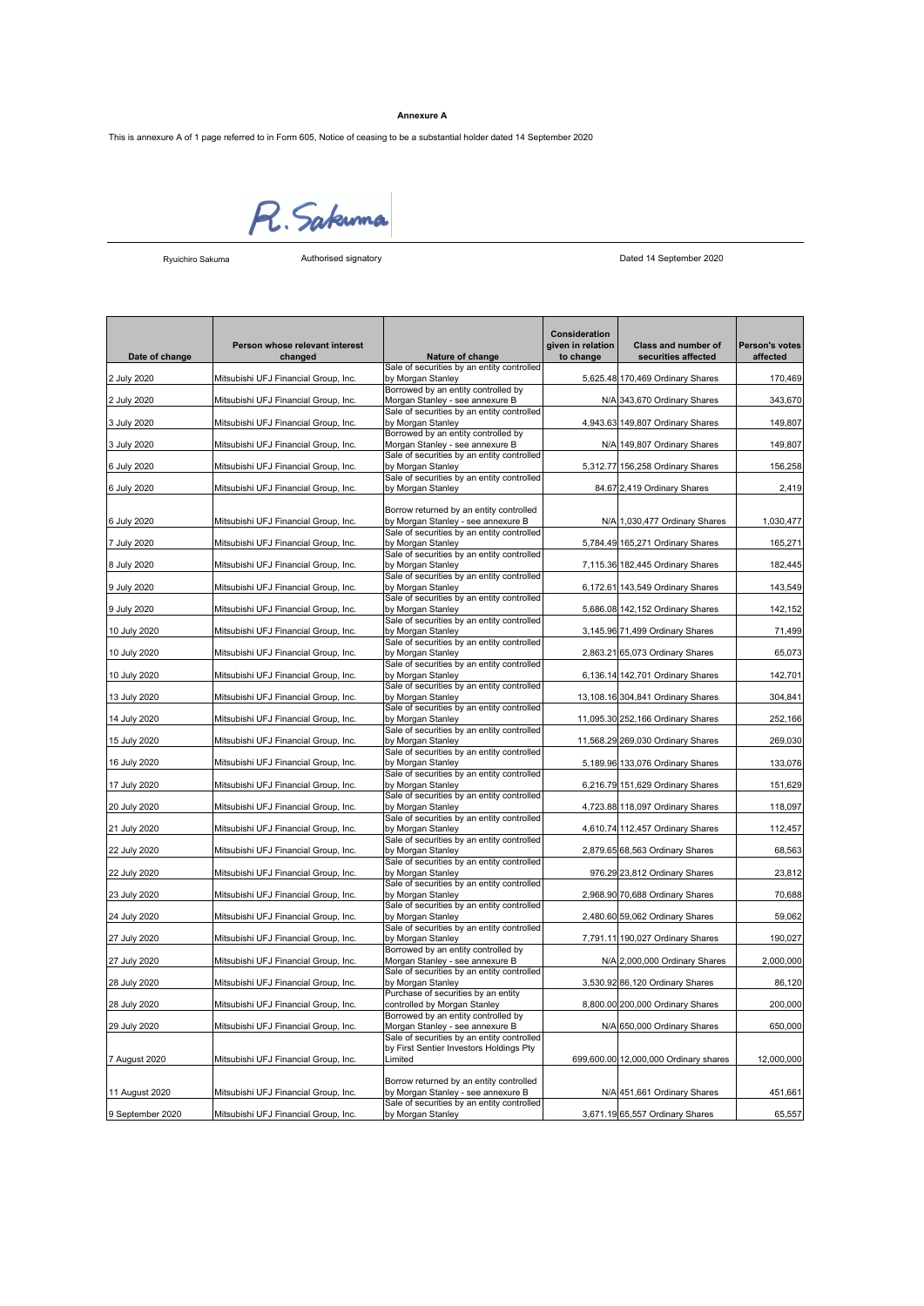## **Annexure A**

This is annexure A of 1 page referred to in Form 605, Notice of ceasing to be a substantial holder dated 14 September 2020



Ryuichiro Sakuma

Authorised signatory Dated 14 September 2020

| Sale of securities by an entity controlled<br>by Morgan Stanley<br>5,625.48 170,469 Ordinary Shares<br>170,469<br>2 July 2020<br>Mitsubishi UFJ Financial Group, Inc.<br>Borrowed by an entity controlled by<br>Morgan Stanley - see annexure B<br>N/A 343,670 Ordinary Shares<br>343,670<br>2 July 2020<br>Mitsubishi UFJ Financial Group, Inc.<br>Sale of securities by an entity controlled<br>by Morgan Stanley<br>4,943.63 149,807 Ordinary Shares<br>149,807<br>3 July 2020<br>Mitsubishi UFJ Financial Group, Inc.<br>Borrowed by an entity controlled by<br>Morgan Stanley - see annexure B<br>149,807<br>3 July 2020<br>Mitsubishi UFJ Financial Group, Inc.<br>N/A 149,807 Ordinary Shares<br>Sale of securities by an entity controlled<br>156,258<br>6 July 2020<br>Mitsubishi UFJ Financial Group, Inc.<br>by Morgan Stanley<br>5,312.77 156,258 Ordinary Shares<br>Sale of securities by an entity controlled<br>6 July 2020<br>Mitsubishi UFJ Financial Group, Inc.<br>by Morgan Stanley<br>84.67 2,419 Ordinary Shares<br>2,419<br>Borrow returned by an entity controlled<br>by Morgan Stanley - see annexure B<br>1,030,477<br>6 July 2020<br>Mitsubishi UFJ Financial Group, Inc.<br>N/A 1,030,477 Ordinary Shares<br>Sale of securities by an entity controlled<br>by Morgan Stanley<br>7 July 2020<br>Mitsubishi UFJ Financial Group, Inc.<br>5,784.49 165,271 Ordinary Shares<br>165,271<br>Sale of securities by an entity controlled<br>by Morgan Stanley<br>182,445<br>8 July 2020<br>Mitsubishi UFJ Financial Group, Inc.<br>7,115.36 182,445 Ordinary Shares<br>Sale of securities by an entity controlled<br>9 July 2020<br>Mitsubishi UFJ Financial Group, Inc.<br>by Morgan Stanley<br>6,172.61 143,549 Ordinary Shares<br>143,549<br>Sale of securities by an entity controlled<br>142,152<br>9 July 2020<br>Mitsubishi UFJ Financial Group, Inc.<br>by Morgan Stanley<br>5,686.08 142,152 Ordinary Shares<br>Sale of securities by an entity controlled<br>71,499<br>10 July 2020<br>Mitsubishi UFJ Financial Group, Inc.<br>by Morgan Stanley<br>3,145.96 71,499 Ordinary Shares<br>Sale of securities by an entity controlled<br>10 July 2020<br>Mitsubishi UFJ Financial Group, Inc.<br>by Morgan Stanley<br>2,863.21 65,073 Ordinary Shares<br>65,073<br>Sale of securities by an entity controlled<br>142,701<br>10 July 2020<br>Mitsubishi UFJ Financial Group, Inc.<br>by Morgan Stanley<br>6,136.14 142,701 Ordinary Shares<br>Sale of securities by an entity controlled<br>13 July 2020<br>Mitsubishi UFJ Financial Group, Inc.<br>by Morgan Stanley<br>13,108.16 304,841 Ordinary Shares<br>304,841<br>Sale of securities by an entity controlled<br>by Morgan Stanley<br>252,166<br>14 July 2020<br>Mitsubishi UFJ Financial Group, Inc.<br>11,095.30 252,166 Ordinary Shares<br>Sale of securities by an entity controlled<br>269,030<br>15 July 2020<br>Mitsubishi UFJ Financial Group, Inc.<br>by Morgan Stanley<br>11,568.29 269,030 Ordinary Shares<br>Sale of securities by an entity controlled<br>Mitsubishi UFJ Financial Group, Inc.<br>133,076<br>16 July 2020<br>by Morgan Stanley<br>5,189.96 133,076 Ordinary Shares<br>Sale of securities by an entity controlled<br>151,629<br>17 July 2020<br>Mitsubishi UFJ Financial Group, Inc.<br>by Morgan Stanley<br>6,216.79 151,629 Ordinary Shares<br>Sale of securities by an entity controlled<br>Mitsubishi UFJ Financial Group, Inc.<br>by Morgan Stanley<br>4,723.88 118,097 Ordinary Shares<br>118,097<br>20 July 2020<br>Sale of securities by an entity controlled<br>by Morgan Stanley<br>21 July 2020<br>Mitsubishi UFJ Financial Group, Inc.<br>4,610.74 112,457 Ordinary Shares<br>112,457<br>Sale of securities by an entity controlled<br>by Morgan Stanley<br>68,563<br>22 July 2020<br>Mitsubishi UFJ Financial Group, Inc.<br>2,879.65 68,563 Ordinary Shares<br>Sale of securities by an entity controlled<br>by Morgan Stanley<br>23,812<br>22 July 2020<br>Mitsubishi UFJ Financial Group, Inc.<br>976.29 23,812 Ordinary Shares<br>Sale of securities by an entity controlled<br>70,688<br>by Morgan Stanley<br>2,968.90 70,688 Ordinary Shares<br>23 July 2020<br>Mitsubishi UFJ Financial Group, Inc.<br>Sale of securities by an entity controlled<br>24 July 2020<br>Mitsubishi UFJ Financial Group, Inc.<br>by Morgan Stanley<br>2,480.60 59,062 Ordinary Shares<br>59,062<br>Sale of securities by an entity controlled<br>Mitsubishi UFJ Financial Group, Inc.<br>by Morgan Stanley<br>7,791.11 190,027 Ordinary Shares<br>190,027<br>27 July 2020<br>Borrowed by an entity controlled by<br>Morgan Stanley - see annexure B<br>2,000,000<br>27 July 2020<br>Mitsubishi UFJ Financial Group, Inc.<br>N/A 2,000,000 Ordinary Shares<br>Sale of securities by an entity controlled<br>by Morgan Stanley<br>28 July 2020<br>Mitsubishi UFJ Financial Group, Inc.<br>3,530.92 86,120 Ordinary Shares<br>86,120<br>Purchase of securities by an entity<br>28 July 2020<br>Mitsubishi UFJ Financial Group, Inc.<br>controlled by Morgan Stanley<br>8,800.00 200,000 Ordinary Shares<br>200,000<br>Borrowed by an entity controlled by<br>Morgan Stanley - see annexure B<br>650,000<br>29 July 2020<br>Mitsubishi UFJ Financial Group, Inc.<br>N/A 650,000 Ordinary Shares<br>Sale of securities by an entity controlled<br>by First Sentier Investors Holdings Pty<br>7 August 2020<br>Mitsubishi UFJ Financial Group, Inc.<br>Limited<br>699,600.00 12,000,000 Ordinary shares<br>12,000,000<br>Borrow returned by an entity controlled<br>11 August 2020<br>Mitsubishi UFJ Financial Group, Inc.<br>by Morgan Stanley - see annexure B<br>N/A 451,661 Ordinary Shares<br>451,661<br>Sale of securities by an entity controlled<br>Mitsubishi UFJ Financial Group, Inc.<br>3,671.19 65,557 Ordinary Shares<br>65,557<br>9 September 2020<br>by Morgan Stanley | Date of change | Person whose relevant interest<br>changed | Nature of change | Consideration<br>given in relation<br>to change | Class and number of<br>securities affected | Person's votes<br>affected |
|---------------------------------------------------------------------------------------------------------------------------------------------------------------------------------------------------------------------------------------------------------------------------------------------------------------------------------------------------------------------------------------------------------------------------------------------------------------------------------------------------------------------------------------------------------------------------------------------------------------------------------------------------------------------------------------------------------------------------------------------------------------------------------------------------------------------------------------------------------------------------------------------------------------------------------------------------------------------------------------------------------------------------------------------------------------------------------------------------------------------------------------------------------------------------------------------------------------------------------------------------------------------------------------------------------------------------------------------------------------------------------------------------------------------------------------------------------------------------------------------------------------------------------------------------------------------------------------------------------------------------------------------------------------------------------------------------------------------------------------------------------------------------------------------------------------------------------------------------------------------------------------------------------------------------------------------------------------------------------------------------------------------------------------------------------------------------------------------------------------------------------------------------------------------------------------------------------------------------------------------------------------------------------------------------------------------------------------------------------------------------------------------------------------------------------------------------------------------------------------------------------------------------------------------------------------------------------------------------------------------------------------------------------------------------------------------------------------------------------------------------------------------------------------------------------------------------------------------------------------------------------------------------------------------------------------------------------------------------------------------------------------------------------------------------------------------------------------------------------------------------------------------------------------------------------------------------------------------------------------------------------------------------------------------------------------------------------------------------------------------------------------------------------------------------------------------------------------------------------------------------------------------------------------------------------------------------------------------------------------------------------------------------------------------------------------------------------------------------------------------------------------------------------------------------------------------------------------------------------------------------------------------------------------------------------------------------------------------------------------------------------------------------------------------------------------------------------------------------------------------------------------------------------------------------------------------------------------------------------------------------------------------------------------------------------------------------------------------------------------------------------------------------------------------------------------------------------------------------------------------------------------------------------------------------------------------------------------------------------------------------------------------------------------------------------------------------------------------------------------------------------------------------------------------------------------------------------------------------------------------------------------------------------------------------------------------------------------------------------------------------------------------------------------------------------------------------------------------------------------------------------------------------------------------------------------------------------------------------------------------------------------------------------------------------------------------------------------------------------------------------------------------------------------------------------------------------------------------------------------------------------------------------------------------------------------------------------------------------------------------------------------------------------------------------------------------------------------------------------------------------------------------------------------------------------------------------------------------------------------------------------------------|----------------|-------------------------------------------|------------------|-------------------------------------------------|--------------------------------------------|----------------------------|
|                                                                                                                                                                                                                                                                                                                                                                                                                                                                                                                                                                                                                                                                                                                                                                                                                                                                                                                                                                                                                                                                                                                                                                                                                                                                                                                                                                                                                                                                                                                                                                                                                                                                                                                                                                                                                                                                                                                                                                                                                                                                                                                                                                                                                                                                                                                                                                                                                                                                                                                                                                                                                                                                                                                                                                                                                                                                                                                                                                                                                                                                                                                                                                                                                                                                                                                                                                                                                                                                                                                                                                                                                                                                                                                                                                                                                                                                                                                                                                                                                                                                                                                                                                                                                                                                                                                                                                                                                                                                                                                                                                                                                                                                                                                                                                                                                                                                                                                                                                                                                                                                                                                                                                                                                                                                                                                                                                                                                                                                                                                                                                                                                                                                                                                                                                                                                                                                                             |                |                                           |                  |                                                 |                                            |                            |
|                                                                                                                                                                                                                                                                                                                                                                                                                                                                                                                                                                                                                                                                                                                                                                                                                                                                                                                                                                                                                                                                                                                                                                                                                                                                                                                                                                                                                                                                                                                                                                                                                                                                                                                                                                                                                                                                                                                                                                                                                                                                                                                                                                                                                                                                                                                                                                                                                                                                                                                                                                                                                                                                                                                                                                                                                                                                                                                                                                                                                                                                                                                                                                                                                                                                                                                                                                                                                                                                                                                                                                                                                                                                                                                                                                                                                                                                                                                                                                                                                                                                                                                                                                                                                                                                                                                                                                                                                                                                                                                                                                                                                                                                                                                                                                                                                                                                                                                                                                                                                                                                                                                                                                                                                                                                                                                                                                                                                                                                                                                                                                                                                                                                                                                                                                                                                                                                                             |                |                                           |                  |                                                 |                                            |                            |
|                                                                                                                                                                                                                                                                                                                                                                                                                                                                                                                                                                                                                                                                                                                                                                                                                                                                                                                                                                                                                                                                                                                                                                                                                                                                                                                                                                                                                                                                                                                                                                                                                                                                                                                                                                                                                                                                                                                                                                                                                                                                                                                                                                                                                                                                                                                                                                                                                                                                                                                                                                                                                                                                                                                                                                                                                                                                                                                                                                                                                                                                                                                                                                                                                                                                                                                                                                                                                                                                                                                                                                                                                                                                                                                                                                                                                                                                                                                                                                                                                                                                                                                                                                                                                                                                                                                                                                                                                                                                                                                                                                                                                                                                                                                                                                                                                                                                                                                                                                                                                                                                                                                                                                                                                                                                                                                                                                                                                                                                                                                                                                                                                                                                                                                                                                                                                                                                                             |                |                                           |                  |                                                 |                                            |                            |
|                                                                                                                                                                                                                                                                                                                                                                                                                                                                                                                                                                                                                                                                                                                                                                                                                                                                                                                                                                                                                                                                                                                                                                                                                                                                                                                                                                                                                                                                                                                                                                                                                                                                                                                                                                                                                                                                                                                                                                                                                                                                                                                                                                                                                                                                                                                                                                                                                                                                                                                                                                                                                                                                                                                                                                                                                                                                                                                                                                                                                                                                                                                                                                                                                                                                                                                                                                                                                                                                                                                                                                                                                                                                                                                                                                                                                                                                                                                                                                                                                                                                                                                                                                                                                                                                                                                                                                                                                                                                                                                                                                                                                                                                                                                                                                                                                                                                                                                                                                                                                                                                                                                                                                                                                                                                                                                                                                                                                                                                                                                                                                                                                                                                                                                                                                                                                                                                                             |                |                                           |                  |                                                 |                                            |                            |
|                                                                                                                                                                                                                                                                                                                                                                                                                                                                                                                                                                                                                                                                                                                                                                                                                                                                                                                                                                                                                                                                                                                                                                                                                                                                                                                                                                                                                                                                                                                                                                                                                                                                                                                                                                                                                                                                                                                                                                                                                                                                                                                                                                                                                                                                                                                                                                                                                                                                                                                                                                                                                                                                                                                                                                                                                                                                                                                                                                                                                                                                                                                                                                                                                                                                                                                                                                                                                                                                                                                                                                                                                                                                                                                                                                                                                                                                                                                                                                                                                                                                                                                                                                                                                                                                                                                                                                                                                                                                                                                                                                                                                                                                                                                                                                                                                                                                                                                                                                                                                                                                                                                                                                                                                                                                                                                                                                                                                                                                                                                                                                                                                                                                                                                                                                                                                                                                                             |                |                                           |                  |                                                 |                                            |                            |
|                                                                                                                                                                                                                                                                                                                                                                                                                                                                                                                                                                                                                                                                                                                                                                                                                                                                                                                                                                                                                                                                                                                                                                                                                                                                                                                                                                                                                                                                                                                                                                                                                                                                                                                                                                                                                                                                                                                                                                                                                                                                                                                                                                                                                                                                                                                                                                                                                                                                                                                                                                                                                                                                                                                                                                                                                                                                                                                                                                                                                                                                                                                                                                                                                                                                                                                                                                                                                                                                                                                                                                                                                                                                                                                                                                                                                                                                                                                                                                                                                                                                                                                                                                                                                                                                                                                                                                                                                                                                                                                                                                                                                                                                                                                                                                                                                                                                                                                                                                                                                                                                                                                                                                                                                                                                                                                                                                                                                                                                                                                                                                                                                                                                                                                                                                                                                                                                                             |                |                                           |                  |                                                 |                                            |                            |
|                                                                                                                                                                                                                                                                                                                                                                                                                                                                                                                                                                                                                                                                                                                                                                                                                                                                                                                                                                                                                                                                                                                                                                                                                                                                                                                                                                                                                                                                                                                                                                                                                                                                                                                                                                                                                                                                                                                                                                                                                                                                                                                                                                                                                                                                                                                                                                                                                                                                                                                                                                                                                                                                                                                                                                                                                                                                                                                                                                                                                                                                                                                                                                                                                                                                                                                                                                                                                                                                                                                                                                                                                                                                                                                                                                                                                                                                                                                                                                                                                                                                                                                                                                                                                                                                                                                                                                                                                                                                                                                                                                                                                                                                                                                                                                                                                                                                                                                                                                                                                                                                                                                                                                                                                                                                                                                                                                                                                                                                                                                                                                                                                                                                                                                                                                                                                                                                                             |                |                                           |                  |                                                 |                                            |                            |
|                                                                                                                                                                                                                                                                                                                                                                                                                                                                                                                                                                                                                                                                                                                                                                                                                                                                                                                                                                                                                                                                                                                                                                                                                                                                                                                                                                                                                                                                                                                                                                                                                                                                                                                                                                                                                                                                                                                                                                                                                                                                                                                                                                                                                                                                                                                                                                                                                                                                                                                                                                                                                                                                                                                                                                                                                                                                                                                                                                                                                                                                                                                                                                                                                                                                                                                                                                                                                                                                                                                                                                                                                                                                                                                                                                                                                                                                                                                                                                                                                                                                                                                                                                                                                                                                                                                                                                                                                                                                                                                                                                                                                                                                                                                                                                                                                                                                                                                                                                                                                                                                                                                                                                                                                                                                                                                                                                                                                                                                                                                                                                                                                                                                                                                                                                                                                                                                                             |                |                                           |                  |                                                 |                                            |                            |
|                                                                                                                                                                                                                                                                                                                                                                                                                                                                                                                                                                                                                                                                                                                                                                                                                                                                                                                                                                                                                                                                                                                                                                                                                                                                                                                                                                                                                                                                                                                                                                                                                                                                                                                                                                                                                                                                                                                                                                                                                                                                                                                                                                                                                                                                                                                                                                                                                                                                                                                                                                                                                                                                                                                                                                                                                                                                                                                                                                                                                                                                                                                                                                                                                                                                                                                                                                                                                                                                                                                                                                                                                                                                                                                                                                                                                                                                                                                                                                                                                                                                                                                                                                                                                                                                                                                                                                                                                                                                                                                                                                                                                                                                                                                                                                                                                                                                                                                                                                                                                                                                                                                                                                                                                                                                                                                                                                                                                                                                                                                                                                                                                                                                                                                                                                                                                                                                                             |                |                                           |                  |                                                 |                                            |                            |
|                                                                                                                                                                                                                                                                                                                                                                                                                                                                                                                                                                                                                                                                                                                                                                                                                                                                                                                                                                                                                                                                                                                                                                                                                                                                                                                                                                                                                                                                                                                                                                                                                                                                                                                                                                                                                                                                                                                                                                                                                                                                                                                                                                                                                                                                                                                                                                                                                                                                                                                                                                                                                                                                                                                                                                                                                                                                                                                                                                                                                                                                                                                                                                                                                                                                                                                                                                                                                                                                                                                                                                                                                                                                                                                                                                                                                                                                                                                                                                                                                                                                                                                                                                                                                                                                                                                                                                                                                                                                                                                                                                                                                                                                                                                                                                                                                                                                                                                                                                                                                                                                                                                                                                                                                                                                                                                                                                                                                                                                                                                                                                                                                                                                                                                                                                                                                                                                                             |                |                                           |                  |                                                 |                                            |                            |
|                                                                                                                                                                                                                                                                                                                                                                                                                                                                                                                                                                                                                                                                                                                                                                                                                                                                                                                                                                                                                                                                                                                                                                                                                                                                                                                                                                                                                                                                                                                                                                                                                                                                                                                                                                                                                                                                                                                                                                                                                                                                                                                                                                                                                                                                                                                                                                                                                                                                                                                                                                                                                                                                                                                                                                                                                                                                                                                                                                                                                                                                                                                                                                                                                                                                                                                                                                                                                                                                                                                                                                                                                                                                                                                                                                                                                                                                                                                                                                                                                                                                                                                                                                                                                                                                                                                                                                                                                                                                                                                                                                                                                                                                                                                                                                                                                                                                                                                                                                                                                                                                                                                                                                                                                                                                                                                                                                                                                                                                                                                                                                                                                                                                                                                                                                                                                                                                                             |                |                                           |                  |                                                 |                                            |                            |
|                                                                                                                                                                                                                                                                                                                                                                                                                                                                                                                                                                                                                                                                                                                                                                                                                                                                                                                                                                                                                                                                                                                                                                                                                                                                                                                                                                                                                                                                                                                                                                                                                                                                                                                                                                                                                                                                                                                                                                                                                                                                                                                                                                                                                                                                                                                                                                                                                                                                                                                                                                                                                                                                                                                                                                                                                                                                                                                                                                                                                                                                                                                                                                                                                                                                                                                                                                                                                                                                                                                                                                                                                                                                                                                                                                                                                                                                                                                                                                                                                                                                                                                                                                                                                                                                                                                                                                                                                                                                                                                                                                                                                                                                                                                                                                                                                                                                                                                                                                                                                                                                                                                                                                                                                                                                                                                                                                                                                                                                                                                                                                                                                                                                                                                                                                                                                                                                                             |                |                                           |                  |                                                 |                                            |                            |
|                                                                                                                                                                                                                                                                                                                                                                                                                                                                                                                                                                                                                                                                                                                                                                                                                                                                                                                                                                                                                                                                                                                                                                                                                                                                                                                                                                                                                                                                                                                                                                                                                                                                                                                                                                                                                                                                                                                                                                                                                                                                                                                                                                                                                                                                                                                                                                                                                                                                                                                                                                                                                                                                                                                                                                                                                                                                                                                                                                                                                                                                                                                                                                                                                                                                                                                                                                                                                                                                                                                                                                                                                                                                                                                                                                                                                                                                                                                                                                                                                                                                                                                                                                                                                                                                                                                                                                                                                                                                                                                                                                                                                                                                                                                                                                                                                                                                                                                                                                                                                                                                                                                                                                                                                                                                                                                                                                                                                                                                                                                                                                                                                                                                                                                                                                                                                                                                                             |                |                                           |                  |                                                 |                                            |                            |
|                                                                                                                                                                                                                                                                                                                                                                                                                                                                                                                                                                                                                                                                                                                                                                                                                                                                                                                                                                                                                                                                                                                                                                                                                                                                                                                                                                                                                                                                                                                                                                                                                                                                                                                                                                                                                                                                                                                                                                                                                                                                                                                                                                                                                                                                                                                                                                                                                                                                                                                                                                                                                                                                                                                                                                                                                                                                                                                                                                                                                                                                                                                                                                                                                                                                                                                                                                                                                                                                                                                                                                                                                                                                                                                                                                                                                                                                                                                                                                                                                                                                                                                                                                                                                                                                                                                                                                                                                                                                                                                                                                                                                                                                                                                                                                                                                                                                                                                                                                                                                                                                                                                                                                                                                                                                                                                                                                                                                                                                                                                                                                                                                                                                                                                                                                                                                                                                                             |                |                                           |                  |                                                 |                                            |                            |
|                                                                                                                                                                                                                                                                                                                                                                                                                                                                                                                                                                                                                                                                                                                                                                                                                                                                                                                                                                                                                                                                                                                                                                                                                                                                                                                                                                                                                                                                                                                                                                                                                                                                                                                                                                                                                                                                                                                                                                                                                                                                                                                                                                                                                                                                                                                                                                                                                                                                                                                                                                                                                                                                                                                                                                                                                                                                                                                                                                                                                                                                                                                                                                                                                                                                                                                                                                                                                                                                                                                                                                                                                                                                                                                                                                                                                                                                                                                                                                                                                                                                                                                                                                                                                                                                                                                                                                                                                                                                                                                                                                                                                                                                                                                                                                                                                                                                                                                                                                                                                                                                                                                                                                                                                                                                                                                                                                                                                                                                                                                                                                                                                                                                                                                                                                                                                                                                                             |                |                                           |                  |                                                 |                                            |                            |
|                                                                                                                                                                                                                                                                                                                                                                                                                                                                                                                                                                                                                                                                                                                                                                                                                                                                                                                                                                                                                                                                                                                                                                                                                                                                                                                                                                                                                                                                                                                                                                                                                                                                                                                                                                                                                                                                                                                                                                                                                                                                                                                                                                                                                                                                                                                                                                                                                                                                                                                                                                                                                                                                                                                                                                                                                                                                                                                                                                                                                                                                                                                                                                                                                                                                                                                                                                                                                                                                                                                                                                                                                                                                                                                                                                                                                                                                                                                                                                                                                                                                                                                                                                                                                                                                                                                                                                                                                                                                                                                                                                                                                                                                                                                                                                                                                                                                                                                                                                                                                                                                                                                                                                                                                                                                                                                                                                                                                                                                                                                                                                                                                                                                                                                                                                                                                                                                                             |                |                                           |                  |                                                 |                                            |                            |
|                                                                                                                                                                                                                                                                                                                                                                                                                                                                                                                                                                                                                                                                                                                                                                                                                                                                                                                                                                                                                                                                                                                                                                                                                                                                                                                                                                                                                                                                                                                                                                                                                                                                                                                                                                                                                                                                                                                                                                                                                                                                                                                                                                                                                                                                                                                                                                                                                                                                                                                                                                                                                                                                                                                                                                                                                                                                                                                                                                                                                                                                                                                                                                                                                                                                                                                                                                                                                                                                                                                                                                                                                                                                                                                                                                                                                                                                                                                                                                                                                                                                                                                                                                                                                                                                                                                                                                                                                                                                                                                                                                                                                                                                                                                                                                                                                                                                                                                                                                                                                                                                                                                                                                                                                                                                                                                                                                                                                                                                                                                                                                                                                                                                                                                                                                                                                                                                                             |                |                                           |                  |                                                 |                                            |                            |
|                                                                                                                                                                                                                                                                                                                                                                                                                                                                                                                                                                                                                                                                                                                                                                                                                                                                                                                                                                                                                                                                                                                                                                                                                                                                                                                                                                                                                                                                                                                                                                                                                                                                                                                                                                                                                                                                                                                                                                                                                                                                                                                                                                                                                                                                                                                                                                                                                                                                                                                                                                                                                                                                                                                                                                                                                                                                                                                                                                                                                                                                                                                                                                                                                                                                                                                                                                                                                                                                                                                                                                                                                                                                                                                                                                                                                                                                                                                                                                                                                                                                                                                                                                                                                                                                                                                                                                                                                                                                                                                                                                                                                                                                                                                                                                                                                                                                                                                                                                                                                                                                                                                                                                                                                                                                                                                                                                                                                                                                                                                                                                                                                                                                                                                                                                                                                                                                                             |                |                                           |                  |                                                 |                                            |                            |
|                                                                                                                                                                                                                                                                                                                                                                                                                                                                                                                                                                                                                                                                                                                                                                                                                                                                                                                                                                                                                                                                                                                                                                                                                                                                                                                                                                                                                                                                                                                                                                                                                                                                                                                                                                                                                                                                                                                                                                                                                                                                                                                                                                                                                                                                                                                                                                                                                                                                                                                                                                                                                                                                                                                                                                                                                                                                                                                                                                                                                                                                                                                                                                                                                                                                                                                                                                                                                                                                                                                                                                                                                                                                                                                                                                                                                                                                                                                                                                                                                                                                                                                                                                                                                                                                                                                                                                                                                                                                                                                                                                                                                                                                                                                                                                                                                                                                                                                                                                                                                                                                                                                                                                                                                                                                                                                                                                                                                                                                                                                                                                                                                                                                                                                                                                                                                                                                                             |                |                                           |                  |                                                 |                                            |                            |
|                                                                                                                                                                                                                                                                                                                                                                                                                                                                                                                                                                                                                                                                                                                                                                                                                                                                                                                                                                                                                                                                                                                                                                                                                                                                                                                                                                                                                                                                                                                                                                                                                                                                                                                                                                                                                                                                                                                                                                                                                                                                                                                                                                                                                                                                                                                                                                                                                                                                                                                                                                                                                                                                                                                                                                                                                                                                                                                                                                                                                                                                                                                                                                                                                                                                                                                                                                                                                                                                                                                                                                                                                                                                                                                                                                                                                                                                                                                                                                                                                                                                                                                                                                                                                                                                                                                                                                                                                                                                                                                                                                                                                                                                                                                                                                                                                                                                                                                                                                                                                                                                                                                                                                                                                                                                                                                                                                                                                                                                                                                                                                                                                                                                                                                                                                                                                                                                                             |                |                                           |                  |                                                 |                                            |                            |
|                                                                                                                                                                                                                                                                                                                                                                                                                                                                                                                                                                                                                                                                                                                                                                                                                                                                                                                                                                                                                                                                                                                                                                                                                                                                                                                                                                                                                                                                                                                                                                                                                                                                                                                                                                                                                                                                                                                                                                                                                                                                                                                                                                                                                                                                                                                                                                                                                                                                                                                                                                                                                                                                                                                                                                                                                                                                                                                                                                                                                                                                                                                                                                                                                                                                                                                                                                                                                                                                                                                                                                                                                                                                                                                                                                                                                                                                                                                                                                                                                                                                                                                                                                                                                                                                                                                                                                                                                                                                                                                                                                                                                                                                                                                                                                                                                                                                                                                                                                                                                                                                                                                                                                                                                                                                                                                                                                                                                                                                                                                                                                                                                                                                                                                                                                                                                                                                                             |                |                                           |                  |                                                 |                                            |                            |
|                                                                                                                                                                                                                                                                                                                                                                                                                                                                                                                                                                                                                                                                                                                                                                                                                                                                                                                                                                                                                                                                                                                                                                                                                                                                                                                                                                                                                                                                                                                                                                                                                                                                                                                                                                                                                                                                                                                                                                                                                                                                                                                                                                                                                                                                                                                                                                                                                                                                                                                                                                                                                                                                                                                                                                                                                                                                                                                                                                                                                                                                                                                                                                                                                                                                                                                                                                                                                                                                                                                                                                                                                                                                                                                                                                                                                                                                                                                                                                                                                                                                                                                                                                                                                                                                                                                                                                                                                                                                                                                                                                                                                                                                                                                                                                                                                                                                                                                                                                                                                                                                                                                                                                                                                                                                                                                                                                                                                                                                                                                                                                                                                                                                                                                                                                                                                                                                                             |                |                                           |                  |                                                 |                                            |                            |
|                                                                                                                                                                                                                                                                                                                                                                                                                                                                                                                                                                                                                                                                                                                                                                                                                                                                                                                                                                                                                                                                                                                                                                                                                                                                                                                                                                                                                                                                                                                                                                                                                                                                                                                                                                                                                                                                                                                                                                                                                                                                                                                                                                                                                                                                                                                                                                                                                                                                                                                                                                                                                                                                                                                                                                                                                                                                                                                                                                                                                                                                                                                                                                                                                                                                                                                                                                                                                                                                                                                                                                                                                                                                                                                                                                                                                                                                                                                                                                                                                                                                                                                                                                                                                                                                                                                                                                                                                                                                                                                                                                                                                                                                                                                                                                                                                                                                                                                                                                                                                                                                                                                                                                                                                                                                                                                                                                                                                                                                                                                                                                                                                                                                                                                                                                                                                                                                                             |                |                                           |                  |                                                 |                                            |                            |
|                                                                                                                                                                                                                                                                                                                                                                                                                                                                                                                                                                                                                                                                                                                                                                                                                                                                                                                                                                                                                                                                                                                                                                                                                                                                                                                                                                                                                                                                                                                                                                                                                                                                                                                                                                                                                                                                                                                                                                                                                                                                                                                                                                                                                                                                                                                                                                                                                                                                                                                                                                                                                                                                                                                                                                                                                                                                                                                                                                                                                                                                                                                                                                                                                                                                                                                                                                                                                                                                                                                                                                                                                                                                                                                                                                                                                                                                                                                                                                                                                                                                                                                                                                                                                                                                                                                                                                                                                                                                                                                                                                                                                                                                                                                                                                                                                                                                                                                                                                                                                                                                                                                                                                                                                                                                                                                                                                                                                                                                                                                                                                                                                                                                                                                                                                                                                                                                                             |                |                                           |                  |                                                 |                                            |                            |
|                                                                                                                                                                                                                                                                                                                                                                                                                                                                                                                                                                                                                                                                                                                                                                                                                                                                                                                                                                                                                                                                                                                                                                                                                                                                                                                                                                                                                                                                                                                                                                                                                                                                                                                                                                                                                                                                                                                                                                                                                                                                                                                                                                                                                                                                                                                                                                                                                                                                                                                                                                                                                                                                                                                                                                                                                                                                                                                                                                                                                                                                                                                                                                                                                                                                                                                                                                                                                                                                                                                                                                                                                                                                                                                                                                                                                                                                                                                                                                                                                                                                                                                                                                                                                                                                                                                                                                                                                                                                                                                                                                                                                                                                                                                                                                                                                                                                                                                                                                                                                                                                                                                                                                                                                                                                                                                                                                                                                                                                                                                                                                                                                                                                                                                                                                                                                                                                                             |                |                                           |                  |                                                 |                                            |                            |
|                                                                                                                                                                                                                                                                                                                                                                                                                                                                                                                                                                                                                                                                                                                                                                                                                                                                                                                                                                                                                                                                                                                                                                                                                                                                                                                                                                                                                                                                                                                                                                                                                                                                                                                                                                                                                                                                                                                                                                                                                                                                                                                                                                                                                                                                                                                                                                                                                                                                                                                                                                                                                                                                                                                                                                                                                                                                                                                                                                                                                                                                                                                                                                                                                                                                                                                                                                                                                                                                                                                                                                                                                                                                                                                                                                                                                                                                                                                                                                                                                                                                                                                                                                                                                                                                                                                                                                                                                                                                                                                                                                                                                                                                                                                                                                                                                                                                                                                                                                                                                                                                                                                                                                                                                                                                                                                                                                                                                                                                                                                                                                                                                                                                                                                                                                                                                                                                                             |                |                                           |                  |                                                 |                                            |                            |
|                                                                                                                                                                                                                                                                                                                                                                                                                                                                                                                                                                                                                                                                                                                                                                                                                                                                                                                                                                                                                                                                                                                                                                                                                                                                                                                                                                                                                                                                                                                                                                                                                                                                                                                                                                                                                                                                                                                                                                                                                                                                                                                                                                                                                                                                                                                                                                                                                                                                                                                                                                                                                                                                                                                                                                                                                                                                                                                                                                                                                                                                                                                                                                                                                                                                                                                                                                                                                                                                                                                                                                                                                                                                                                                                                                                                                                                                                                                                                                                                                                                                                                                                                                                                                                                                                                                                                                                                                                                                                                                                                                                                                                                                                                                                                                                                                                                                                                                                                                                                                                                                                                                                                                                                                                                                                                                                                                                                                                                                                                                                                                                                                                                                                                                                                                                                                                                                                             |                |                                           |                  |                                                 |                                            |                            |
|                                                                                                                                                                                                                                                                                                                                                                                                                                                                                                                                                                                                                                                                                                                                                                                                                                                                                                                                                                                                                                                                                                                                                                                                                                                                                                                                                                                                                                                                                                                                                                                                                                                                                                                                                                                                                                                                                                                                                                                                                                                                                                                                                                                                                                                                                                                                                                                                                                                                                                                                                                                                                                                                                                                                                                                                                                                                                                                                                                                                                                                                                                                                                                                                                                                                                                                                                                                                                                                                                                                                                                                                                                                                                                                                                                                                                                                                                                                                                                                                                                                                                                                                                                                                                                                                                                                                                                                                                                                                                                                                                                                                                                                                                                                                                                                                                                                                                                                                                                                                                                                                                                                                                                                                                                                                                                                                                                                                                                                                                                                                                                                                                                                                                                                                                                                                                                                                                             |                |                                           |                  |                                                 |                                            |                            |
|                                                                                                                                                                                                                                                                                                                                                                                                                                                                                                                                                                                                                                                                                                                                                                                                                                                                                                                                                                                                                                                                                                                                                                                                                                                                                                                                                                                                                                                                                                                                                                                                                                                                                                                                                                                                                                                                                                                                                                                                                                                                                                                                                                                                                                                                                                                                                                                                                                                                                                                                                                                                                                                                                                                                                                                                                                                                                                                                                                                                                                                                                                                                                                                                                                                                                                                                                                                                                                                                                                                                                                                                                                                                                                                                                                                                                                                                                                                                                                                                                                                                                                                                                                                                                                                                                                                                                                                                                                                                                                                                                                                                                                                                                                                                                                                                                                                                                                                                                                                                                                                                                                                                                                                                                                                                                                                                                                                                                                                                                                                                                                                                                                                                                                                                                                                                                                                                                             |                |                                           |                  |                                                 |                                            |                            |
|                                                                                                                                                                                                                                                                                                                                                                                                                                                                                                                                                                                                                                                                                                                                                                                                                                                                                                                                                                                                                                                                                                                                                                                                                                                                                                                                                                                                                                                                                                                                                                                                                                                                                                                                                                                                                                                                                                                                                                                                                                                                                                                                                                                                                                                                                                                                                                                                                                                                                                                                                                                                                                                                                                                                                                                                                                                                                                                                                                                                                                                                                                                                                                                                                                                                                                                                                                                                                                                                                                                                                                                                                                                                                                                                                                                                                                                                                                                                                                                                                                                                                                                                                                                                                                                                                                                                                                                                                                                                                                                                                                                                                                                                                                                                                                                                                                                                                                                                                                                                                                                                                                                                                                                                                                                                                                                                                                                                                                                                                                                                                                                                                                                                                                                                                                                                                                                                                             |                |                                           |                  |                                                 |                                            |                            |
|                                                                                                                                                                                                                                                                                                                                                                                                                                                                                                                                                                                                                                                                                                                                                                                                                                                                                                                                                                                                                                                                                                                                                                                                                                                                                                                                                                                                                                                                                                                                                                                                                                                                                                                                                                                                                                                                                                                                                                                                                                                                                                                                                                                                                                                                                                                                                                                                                                                                                                                                                                                                                                                                                                                                                                                                                                                                                                                                                                                                                                                                                                                                                                                                                                                                                                                                                                                                                                                                                                                                                                                                                                                                                                                                                                                                                                                                                                                                                                                                                                                                                                                                                                                                                                                                                                                                                                                                                                                                                                                                                                                                                                                                                                                                                                                                                                                                                                                                                                                                                                                                                                                                                                                                                                                                                                                                                                                                                                                                                                                                                                                                                                                                                                                                                                                                                                                                                             |                |                                           |                  |                                                 |                                            |                            |
|                                                                                                                                                                                                                                                                                                                                                                                                                                                                                                                                                                                                                                                                                                                                                                                                                                                                                                                                                                                                                                                                                                                                                                                                                                                                                                                                                                                                                                                                                                                                                                                                                                                                                                                                                                                                                                                                                                                                                                                                                                                                                                                                                                                                                                                                                                                                                                                                                                                                                                                                                                                                                                                                                                                                                                                                                                                                                                                                                                                                                                                                                                                                                                                                                                                                                                                                                                                                                                                                                                                                                                                                                                                                                                                                                                                                                                                                                                                                                                                                                                                                                                                                                                                                                                                                                                                                                                                                                                                                                                                                                                                                                                                                                                                                                                                                                                                                                                                                                                                                                                                                                                                                                                                                                                                                                                                                                                                                                                                                                                                                                                                                                                                                                                                                                                                                                                                                                             |                |                                           |                  |                                                 |                                            |                            |
|                                                                                                                                                                                                                                                                                                                                                                                                                                                                                                                                                                                                                                                                                                                                                                                                                                                                                                                                                                                                                                                                                                                                                                                                                                                                                                                                                                                                                                                                                                                                                                                                                                                                                                                                                                                                                                                                                                                                                                                                                                                                                                                                                                                                                                                                                                                                                                                                                                                                                                                                                                                                                                                                                                                                                                                                                                                                                                                                                                                                                                                                                                                                                                                                                                                                                                                                                                                                                                                                                                                                                                                                                                                                                                                                                                                                                                                                                                                                                                                                                                                                                                                                                                                                                                                                                                                                                                                                                                                                                                                                                                                                                                                                                                                                                                                                                                                                                                                                                                                                                                                                                                                                                                                                                                                                                                                                                                                                                                                                                                                                                                                                                                                                                                                                                                                                                                                                                             |                |                                           |                  |                                                 |                                            |                            |
|                                                                                                                                                                                                                                                                                                                                                                                                                                                                                                                                                                                                                                                                                                                                                                                                                                                                                                                                                                                                                                                                                                                                                                                                                                                                                                                                                                                                                                                                                                                                                                                                                                                                                                                                                                                                                                                                                                                                                                                                                                                                                                                                                                                                                                                                                                                                                                                                                                                                                                                                                                                                                                                                                                                                                                                                                                                                                                                                                                                                                                                                                                                                                                                                                                                                                                                                                                                                                                                                                                                                                                                                                                                                                                                                                                                                                                                                                                                                                                                                                                                                                                                                                                                                                                                                                                                                                                                                                                                                                                                                                                                                                                                                                                                                                                                                                                                                                                                                                                                                                                                                                                                                                                                                                                                                                                                                                                                                                                                                                                                                                                                                                                                                                                                                                                                                                                                                                             |                |                                           |                  |                                                 |                                            |                            |
|                                                                                                                                                                                                                                                                                                                                                                                                                                                                                                                                                                                                                                                                                                                                                                                                                                                                                                                                                                                                                                                                                                                                                                                                                                                                                                                                                                                                                                                                                                                                                                                                                                                                                                                                                                                                                                                                                                                                                                                                                                                                                                                                                                                                                                                                                                                                                                                                                                                                                                                                                                                                                                                                                                                                                                                                                                                                                                                                                                                                                                                                                                                                                                                                                                                                                                                                                                                                                                                                                                                                                                                                                                                                                                                                                                                                                                                                                                                                                                                                                                                                                                                                                                                                                                                                                                                                                                                                                                                                                                                                                                                                                                                                                                                                                                                                                                                                                                                                                                                                                                                                                                                                                                                                                                                                                                                                                                                                                                                                                                                                                                                                                                                                                                                                                                                                                                                                                             |                |                                           |                  |                                                 |                                            |                            |
|                                                                                                                                                                                                                                                                                                                                                                                                                                                                                                                                                                                                                                                                                                                                                                                                                                                                                                                                                                                                                                                                                                                                                                                                                                                                                                                                                                                                                                                                                                                                                                                                                                                                                                                                                                                                                                                                                                                                                                                                                                                                                                                                                                                                                                                                                                                                                                                                                                                                                                                                                                                                                                                                                                                                                                                                                                                                                                                                                                                                                                                                                                                                                                                                                                                                                                                                                                                                                                                                                                                                                                                                                                                                                                                                                                                                                                                                                                                                                                                                                                                                                                                                                                                                                                                                                                                                                                                                                                                                                                                                                                                                                                                                                                                                                                                                                                                                                                                                                                                                                                                                                                                                                                                                                                                                                                                                                                                                                                                                                                                                                                                                                                                                                                                                                                                                                                                                                             |                |                                           |                  |                                                 |                                            |                            |
|                                                                                                                                                                                                                                                                                                                                                                                                                                                                                                                                                                                                                                                                                                                                                                                                                                                                                                                                                                                                                                                                                                                                                                                                                                                                                                                                                                                                                                                                                                                                                                                                                                                                                                                                                                                                                                                                                                                                                                                                                                                                                                                                                                                                                                                                                                                                                                                                                                                                                                                                                                                                                                                                                                                                                                                                                                                                                                                                                                                                                                                                                                                                                                                                                                                                                                                                                                                                                                                                                                                                                                                                                                                                                                                                                                                                                                                                                                                                                                                                                                                                                                                                                                                                                                                                                                                                                                                                                                                                                                                                                                                                                                                                                                                                                                                                                                                                                                                                                                                                                                                                                                                                                                                                                                                                                                                                                                                                                                                                                                                                                                                                                                                                                                                                                                                                                                                                                             |                |                                           |                  |                                                 |                                            |                            |
|                                                                                                                                                                                                                                                                                                                                                                                                                                                                                                                                                                                                                                                                                                                                                                                                                                                                                                                                                                                                                                                                                                                                                                                                                                                                                                                                                                                                                                                                                                                                                                                                                                                                                                                                                                                                                                                                                                                                                                                                                                                                                                                                                                                                                                                                                                                                                                                                                                                                                                                                                                                                                                                                                                                                                                                                                                                                                                                                                                                                                                                                                                                                                                                                                                                                                                                                                                                                                                                                                                                                                                                                                                                                                                                                                                                                                                                                                                                                                                                                                                                                                                                                                                                                                                                                                                                                                                                                                                                                                                                                                                                                                                                                                                                                                                                                                                                                                                                                                                                                                                                                                                                                                                                                                                                                                                                                                                                                                                                                                                                                                                                                                                                                                                                                                                                                                                                                                             |                |                                           |                  |                                                 |                                            |                            |